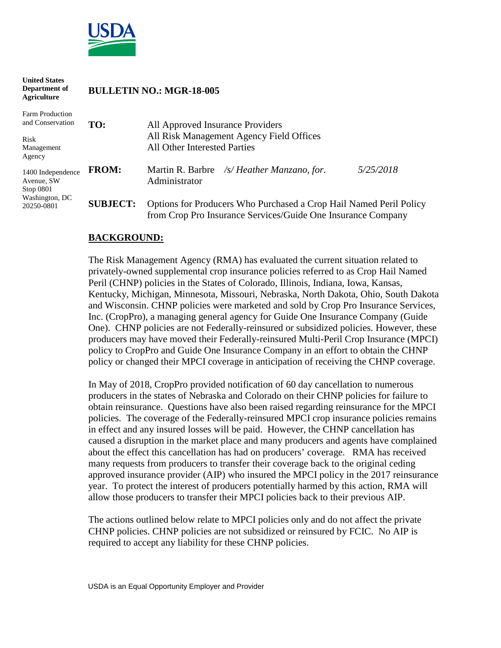

| <b>United States</b><br>Department of<br><b>Agriculture</b>                  |                 | <b>BULLETIN NO.: MGR-18-005</b>                                                                                                    |           |  |
|------------------------------------------------------------------------------|-----------------|------------------------------------------------------------------------------------------------------------------------------------|-----------|--|
| Farm Production<br>and Conservation<br>Risk<br>Management<br>Agency          | TO:             | All Approved Insurance Providers<br>All Risk Management Agency Field Offices<br>All Other Interested Parties                       |           |  |
| 1400 Independence<br>Avenue, SW<br>Stop 0801<br>Washington, DC<br>20250-0801 | <b>FROM:</b>    | Martin R. Barbre /s/ Heather Manzano, for.<br>Administrator                                                                        | 5/25/2018 |  |
|                                                                              | <b>SUBJECT:</b> | Options for Producers Who Purchased a Crop Hail Named Peril Policy<br>from Crop Pro Insurance Services/Guide One Insurance Company |           |  |

### **BACKGROUND:**

The Risk Management Agency (RMA) has evaluated the current situation related to privately-owned supplemental crop insurance policies referred to as Crop Hail Named Peril (CHNP) policies in the States of Colorado, Illinois, Indiana, Iowa, Kansas, Kentucky, Michigan, Minnesota, Missouri, Nebraska, North Dakota, Ohio, South Dakota and Wisconsin. CHNP policies were marketed and sold by Crop Pro Insurance Services, Inc. (CropPro), a managing general agency for Guide One Insurance Company (Guide One). CHNP policies are not Federally-reinsured or subsidized policies. However, these producers may have moved their Federally-reinsured Multi-Peril Crop Insurance (MPCI) policy to CropPro and Guide One Insurance Company in an effort to obtain the CHNP policy or changed their MPCI coverage in anticipation of receiving the CHNP coverage.

In May of 2018, CropPro provided notification of 60 day cancellation to numerous producers in the states of Nebraska and Colorado on their CHNP policies for failure to obtain reinsurance. Questions have also been raised regarding reinsurance for the MPCI policies. The coverage of the Federally-reinsured MPCI crop insurance policies remains in effect and any insured losses will be paid. However, the CHNP cancellation has caused a disruption in the market place and many producers and agents have complained about the effect this cancellation has had on producers' coverage. RMA has received many requests from producers to transfer their coverage back to the original ceding approved insurance provider (AIP) who insured the MPCI policy in the 2017 reinsurance year. To protect the interest of producers potentially harmed by this action, RMA will allow those producers to transfer their MPCI policies back to their previous AIP.

The actions outlined below relate to MPCI policies only and do not affect the private CHNP policies. CHNP policies are not subsidized or reinsured by FCIC. No AIP is required to accept any liability for these CHNP policies.